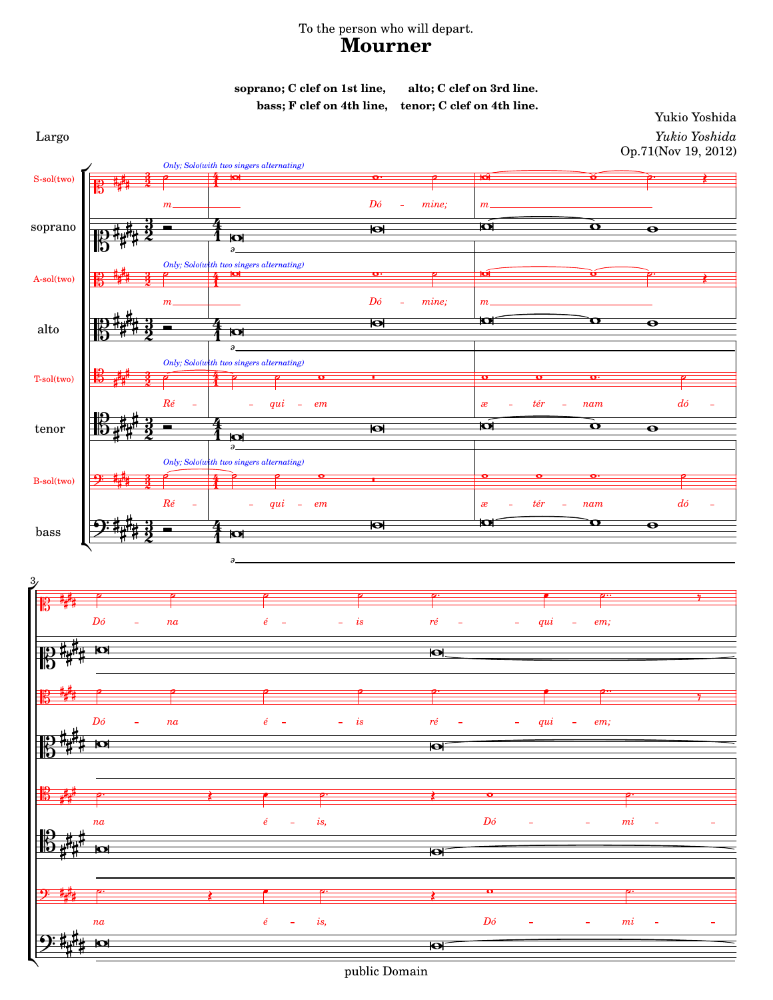## To the person who will depart. **Mourner**

**soprano; C clef on 1st line, alto; C clef on 3rd line. bass; F clef on 4th line, tenor; C clef on 4th line.**

Yukio Yoshida

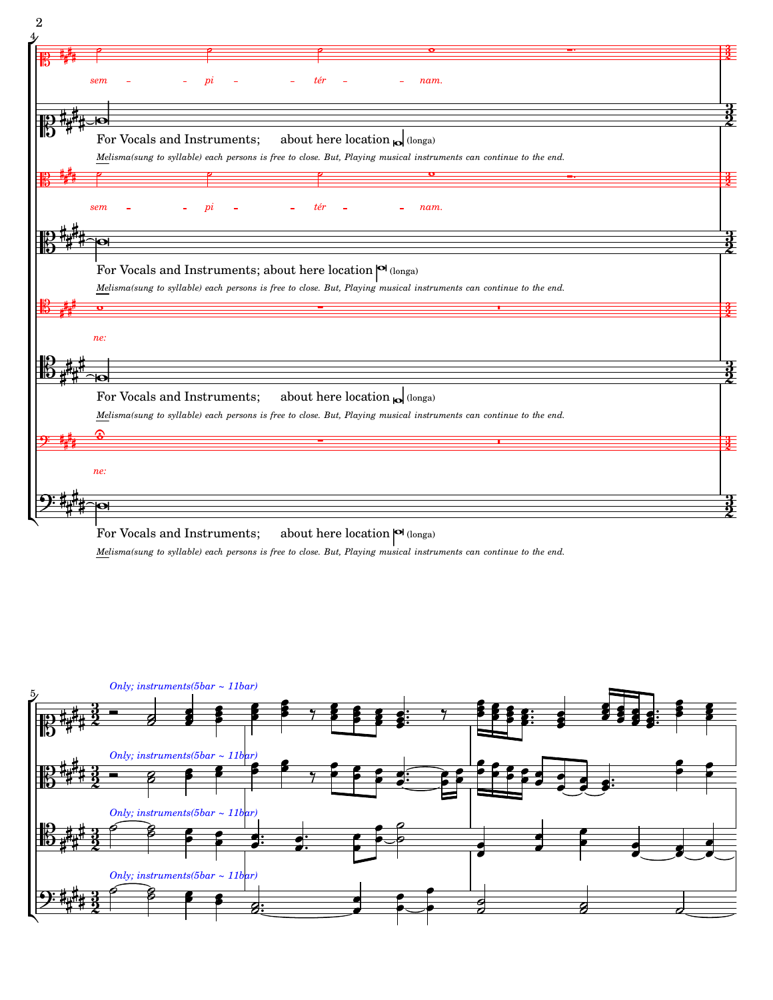

*[Melisma\(sung to syllable\) each persons is free to close. But, Playing musical instruments can continue to the end.](textedit:///mnt/c/yukio/sheet-poem.com/2012-2015/2012/mourner/mourner-cv.ly:1109:13:14)*

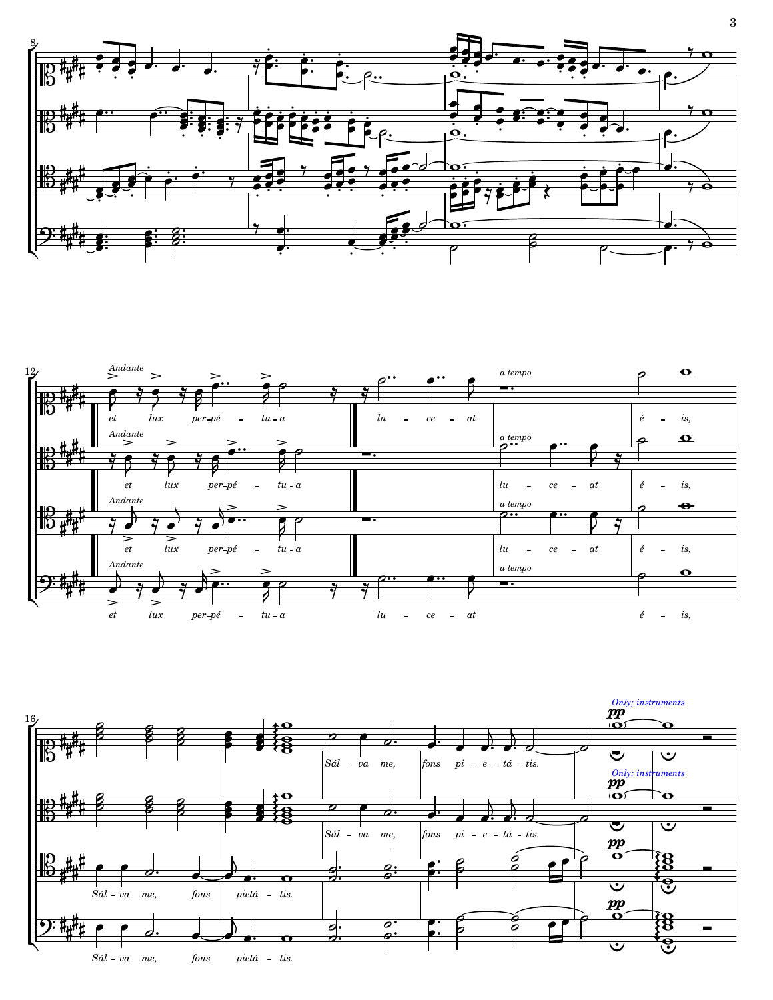



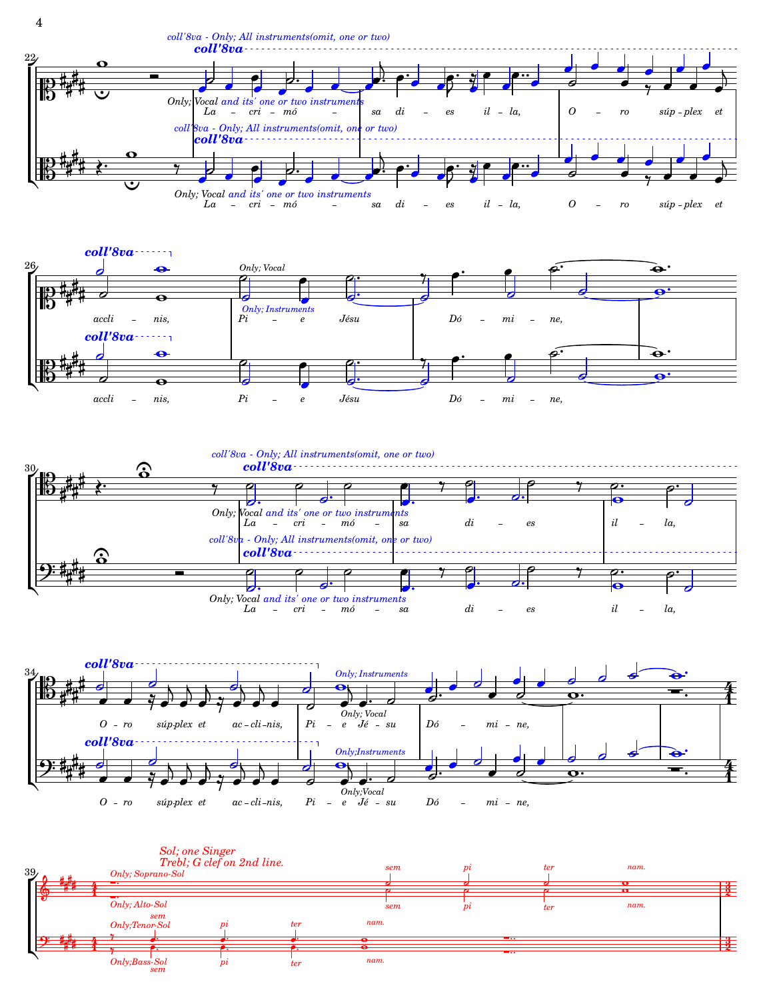







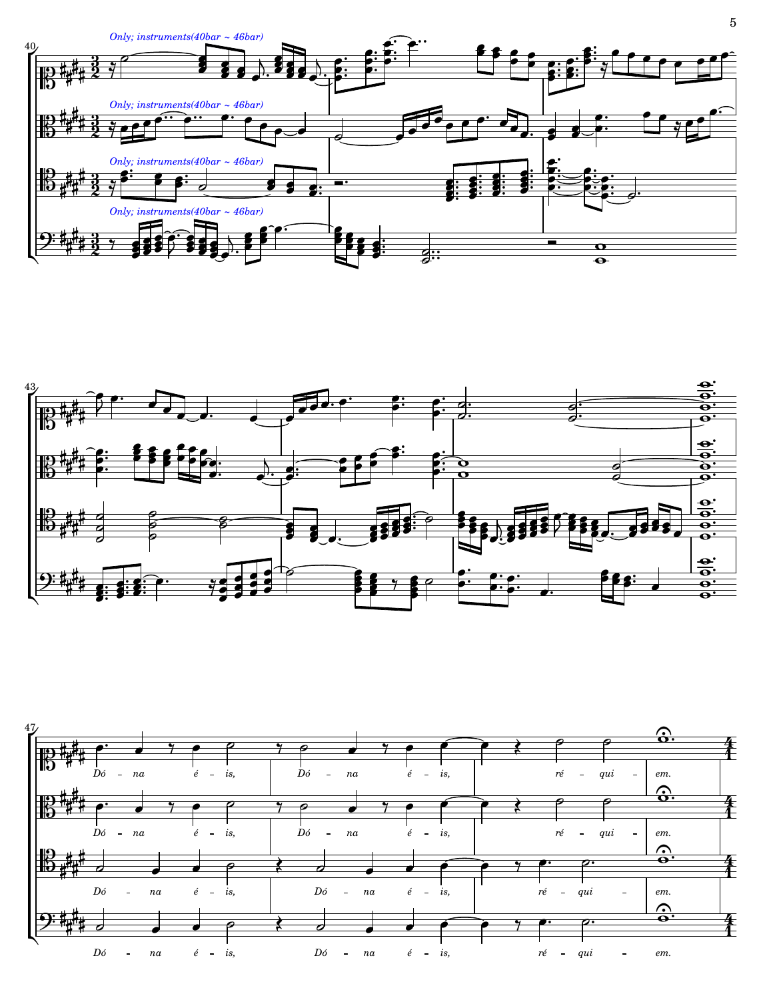



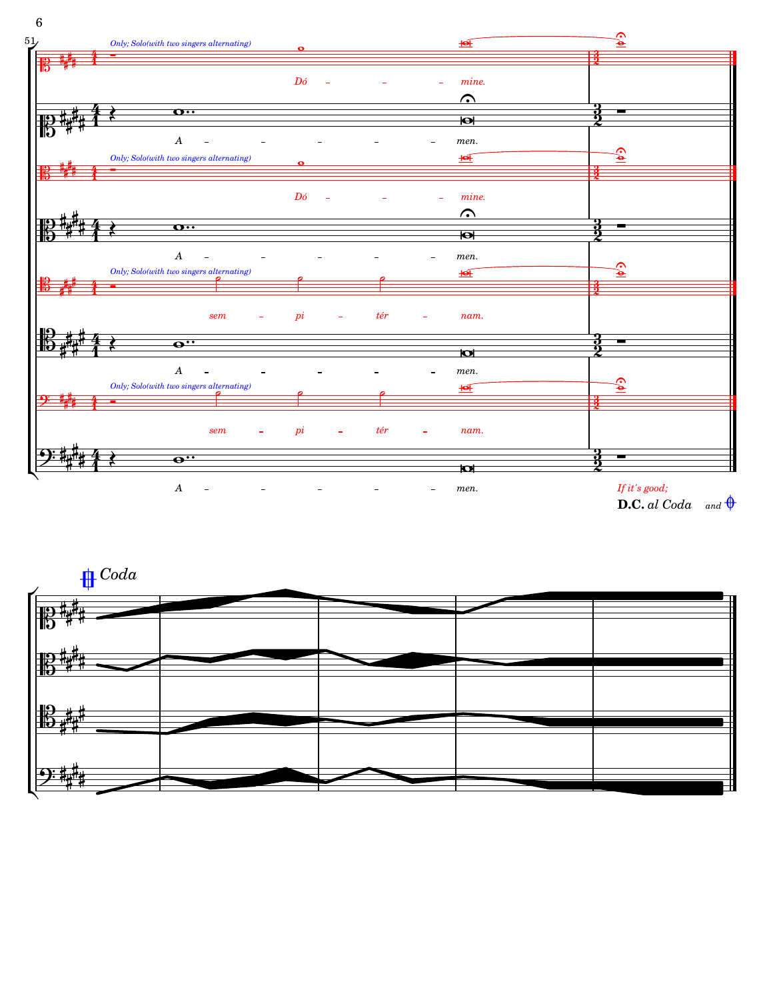

*[Coda](textedit:///mnt/c/yukio/sheet-poem.com/2012-2015/2012/mourner/mourner-cv.ly:232:0:1)*